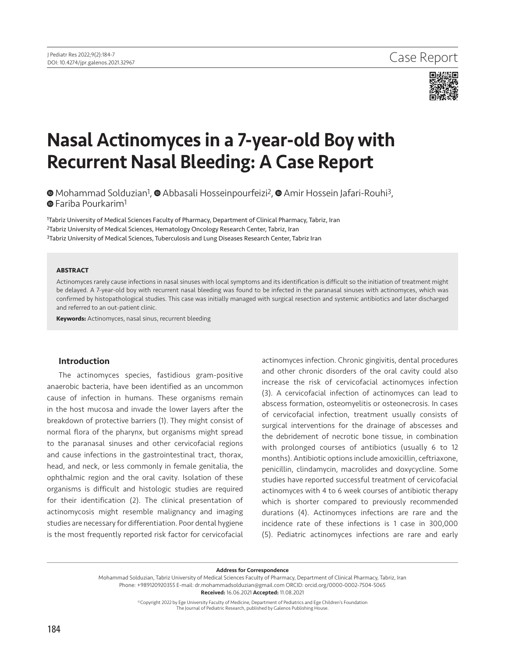

# Nasal Actinomyces in a 7-year-old Boy with Recurrent Nasal Bleeding: A Case Report

**MohammadSolduzian<sup>1</sup>, @ Abbasali Hosseinpourfeizi<sup>2</sup>, @ Amir Hossein Jafari-Rouhi<sup>3</sup>, ■**Fariba Pourkarim<sup>1</sup>

1Tabriz University of Medical Sciences Faculty of Pharmacy, Department of Clinical Pharmacy, Tabriz, Iran 2Tabriz University of Medical Sciences, Hematology Oncology Research Center, Tabriz, Iran <sup>3</sup>Tabriz University of Medical Sciences, Tuberculosis and Lung Diseases Research Center, Tabriz Iran

## **ABSTRACT**

Actinomyces rarely cause infections in nasal sinuses with local symptoms and its identification is difficult so the initiation of treatment might be delayed. A 7-year-old boy with recurrent nasal bleeding was found to be infected in the paranasal sinuses with actinomyces, which was confirmed by histopathological studies. This case was initially managed with surgical resection and systemic antibiotics and later discharged and referred to an out-patient clinic.

**Keywords:** Actinomyces, nasal sinus, recurrent bleeding

### Introduction

The actinomyces species, fastidious gram-positive anaerobic bacteria, have been identified as an uncommon cause of infection in humans. These organisms remain in the host mucosa and invade the lower layers after the breakdown of protective barriers (1). They might consist of normal flora of the pharynx, but organisms might spread to the paranasal sinuses and other cervicofacial regions and cause infections in the gastrointestinal tract, thorax, head, and neck, or less commonly in female genitalia, the ophthalmic region and the oral cavity. Isolation of these organisms is difficult and histologic studies are required for their identification (2). The clinical presentation of actinomycosis might resemble malignancy and imaging studies are necessary for differentiation. Poor dental hygiene is the most frequently reported risk factor for cervicofacial

actinomyces infection. Chronic gingivitis, dental procedures and other chronic disorders of the oral cavity could also increase the risk of cervicofacial actinomyces infection (3). A cervicofacial infection of actinomyces can lead to abscess formation, osteomyelitis or osteonecrosis. In cases of cervicofacial infection, treatment usually consists of surgical interventions for the drainage of abscesses and the debridement of necrotic bone tissue, in combination with prolonged courses of antibiotics (usually 6 to 12 months). Antibiotic options include amoxicillin, ceftriaxone, penicillin, clindamycin, macrolides and doxycycline. Some studies have reported successful treatment of cervicofacial actinomyces with 4 to 6 week courses of antibiotic therapy which is shorter compared to previously recommended durations (4). Actinomyces infections are rare and the incidence rate of these infections is 1 case in 300,000 (5). Pediatric actinomyces infections are rare and early

Address for Correspondence

Mohammad Solduzian, Tabriz University of Medical Sciences Faculty of Pharmacy, Department of Clinical Pharmacy, Tabriz, Iran Phone: +989120920355 E-mail: dr.mohammadsolduzian@gmail.com ORCID: orcid.org/0000-0002-7504-5065 Received: 16.06.2021 Accepted: 11.08.2021

©Copyright 2022 by Ege University Faculty of Medicine, Department of Pediatrics and Ege Children's Foundation

The Journal of Pediatric Research, published by Galenos Publishing House.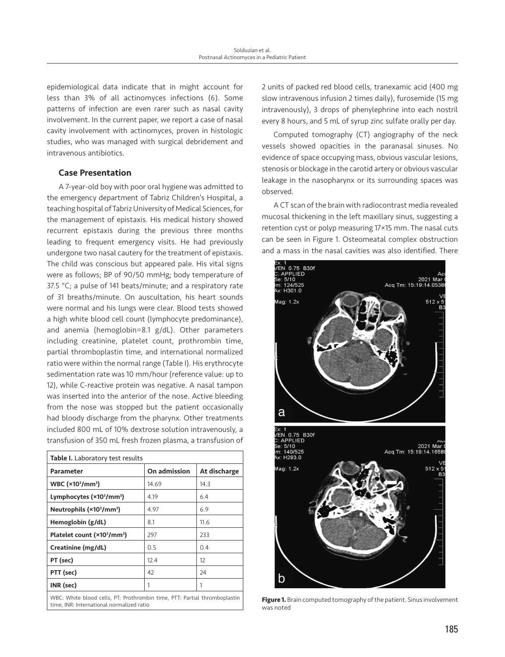epidemiological data indicate that in might account for less than 3% of all actinomyces infections (6). Some patterns of infection are even rarer such as nasal cavity involvement. In the current paper, we report a case of nasal cavity involvement with actinomyces, proven in histologic studies, who was managed with surgical debridement and intravenous antibiotics.

# Case Presentation

A 7-year-old boy with poor oral hygiene was admitted to the emergency department of Tabriz Children's Hospital, a teaching hospital of Tabriz University of Medical Sciences, for the management of epistaxis. His medical history showed recurrent epistaxis during the previous three months leading to frequent emergency visits. He had previously undergone two nasal cautery for the treatment of epistaxis. The child was conscious but appeared pale. His vital signs were as follows; BP of 90/50 mmHg; body temperature of 37.5 °C; a pulse of 141 beats/minute; and a respiratory rate of 31 breaths/minute. On auscultation, his heart sounds were normal and his lungs were clear. Blood tests showed a high white blood cell count (lymphocyte predominance), and anemia (hemoglobin=8.1 g/dL). Other parameters including creatinine, platelet count, prothrombin time, partial thromboplastin time, and international normalized ratio were within the normal range (Table I). His erythrocyte sedimentation rate was 10 mm/hour (reference value: up to 12), while C-reactive protein was negative. A nasal tampon was inserted into the anterior of the nose. Active bleeding from the nose was stopped but the patient occasionally had bloody discharge from the pharynx. Other treatments included 800 mL of 10% dextrose solution intravenously, a transfusion of 350 mL fresh frozen plasma, a transfusion of

| Table I. Laboratory test results                    |              |              |
|-----------------------------------------------------|--------------|--------------|
| Parameter                                           | On admission | At discharge |
| WBC (×10 <sup>3</sup> /mm <sup>3</sup> )            | 14.69        | 14.3         |
| Lymphocytes (×10 <sup>3</sup> /mm <sup>3</sup> )    | 4.19         | 6.4          |
| Neutrophils (×10 <sup>3</sup> /mm <sup>3</sup> )    | 4.97         | 6.9          |
| Hemoglobin (g/dL)                                   | 8.1          | 11.6         |
| Platelet count (×10 <sup>3</sup> /mm <sup>3</sup> ) | 297          | 233          |
| Creatinine (mg/dL)                                  | 0.5          | 0.4          |
| PT (sec)                                            | 12.4         | 12           |
| PTT (sec)                                           | 42           | 24           |
| INR (sec)                                           | 1            | 1            |
| -- -<br>$\cdots$<br>.                               |              |              |

WBC: White blood cells, PT: Prothrombin time, PTT: Partial thromboplastin

2 units of packed red blood cells, tranexamic acid (400 mg slow intravenous infusion 2 times daily), furosemide (15 mg intravenously), 3 drops of phenylephrine into each nostril every 8 hours, and 5 mL of syrup zinc sulfate orally per day.

Computed tomography (CT) angiography of the neck vessels showed opacities in the paranasal sinuses. No evidence of space occupying mass, obvious vascular lesions, stenosis or blockage in the carotid artery or obvious vascular leakage in the nasopharynx or its surrounding spaces was observed.

A CT scan of the brain with radiocontrast media revealed mucosal thickening in the left maxillary sinus, suggesting a retention cyst or polyp measuring 17×15 mm. The nasal cuts can be seen in Figure 1. Osteomeatal complex obstruction and a mass in the nasal cavities was also identified. There



WBC: White blood cells, PI: Prothrombin time, PII: Partial thromboplastin **Figure 1.** Brain computed tomography of the patient. Sinus involvement time. INR: International normalized ratio was noted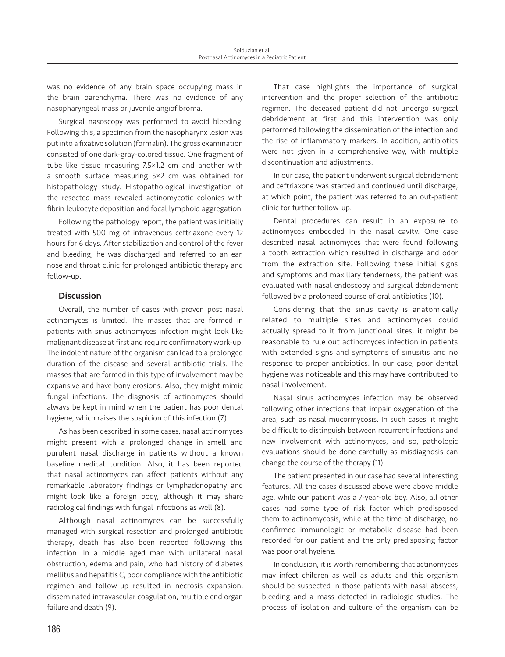was no evidence of any brain space occupying mass in the brain parenchyma. There was no evidence of any nasopharyngeal mass or juvenile angiofibroma.

Surgical nasoscopy was performed to avoid bleeding. Following this, a specimen from the nasopharynx lesion was put into a fixative solution (formalin). The gross examination consisted of one dark-gray-colored tissue. One fragment of tube like tissue measuring 7.5×1.2 cm and another with a smooth surface measuring 5×2 cm was obtained for histopathology study. Histopathological investigation of the resected mass revealed actinomycotic colonies with fibrin leukocyte deposition and focal lymphoid aggregation.

Following the pathology report, the patient was initially treated with 500 mg of intravenous ceftriaxone every 12 hours for 6 days. After stabilization and control of the fever and bleeding, he was discharged and referred to an ear, nose and throat clinic for prolonged antibiotic therapy and follow-up.

# **Discussion**

Overall, the number of cases with proven post nasal actinomyces is limited. The masses that are formed in patients with sinus actinomyces infection might look like malignant disease at first and require confirmatory work-up. The indolent nature of the organism can lead to a prolonged duration of the disease and several antibiotic trials. The masses that are formed in this type of involvement may be expansive and have bony erosions. Also, they might mimic fungal infections. The diagnosis of actinomyces should always be kept in mind when the patient has poor dental hygiene, which raises the suspicion of this infection (7).

As has been described in some cases, nasal actinomyces might present with a prolonged change in smell and purulent nasal discharge in patients without a known baseline medical condition. Also, it has been reported that nasal actinomyces can affect patients without any remarkable laboratory findings or lymphadenopathy and might look like a foreign body, although it may share radiological findings with fungal infections as well (8).

Although nasal actinomyces can be successfully managed with surgical resection and prolonged antibiotic therapy, death has also been reported following this infection. In a middle aged man with unilateral nasal obstruction, edema and pain, who had history of diabetes mellitus and hepatitis C, poor compliance with the antibiotic regimen and follow-up resulted in necrosis expansion, disseminated intravascular coagulation, multiple end organ failure and death (9).

That case highlights the importance of surgical intervention and the proper selection of the antibiotic regimen. The deceased patient did not undergo surgical debridement at first and this intervention was only performed following the dissemination of the infection and the rise of inflammatory markers. In addition, antibiotics were not given in a comprehensive way, with multiple discontinuation and adjustments.

In our case, the patient underwent surgical debridement and ceftriaxone was started and continued until discharge, at which point, the patient was referred to an out-patient clinic for further follow-up.

Dental procedures can result in an exposure to actinomyces embedded in the nasal cavity. One case described nasal actinomyces that were found following a tooth extraction which resulted in discharge and odor from the extraction site. Following these initial signs and symptoms and maxillary tenderness, the patient was evaluated with nasal endoscopy and surgical debridement followed by a prolonged course of oral antibiotics (10).

Considering that the sinus cavity is anatomically related to multiple sites and actinomyces could actually spread to it from junctional sites, it might be reasonable to rule out actinomyces infection in patients with extended signs and symptoms of sinusitis and no response to proper antibiotics. In our case, poor dental hygiene was noticeable and this may have contributed to nasal involvement.

Nasal sinus actinomyces infection may be observed following other infections that impair oxygenation of the area, such as nasal mucormycosis. In such cases, it might be difficult to distinguish between recurrent infections and new involvement with actinomyces, and so, pathologic evaluations should be done carefully as misdiagnosis can change the course of the therapy (11).

The patient presented in our case had several interesting features. All the cases discussed above were above middle age, while our patient was a 7-year-old boy. Also, all other cases had some type of risk factor which predisposed them to actinomycosis, while at the time of discharge, no confirmed immunologic or metabolic disease had been recorded for our patient and the only predisposing factor was poor oral hygiene.

In conclusion, it is worth remembering that actinomyces may infect children as well as adults and this organism should be suspected in those patients with nasal abscess, bleeding and a mass detected in radiologic studies. The process of isolation and culture of the organism can be